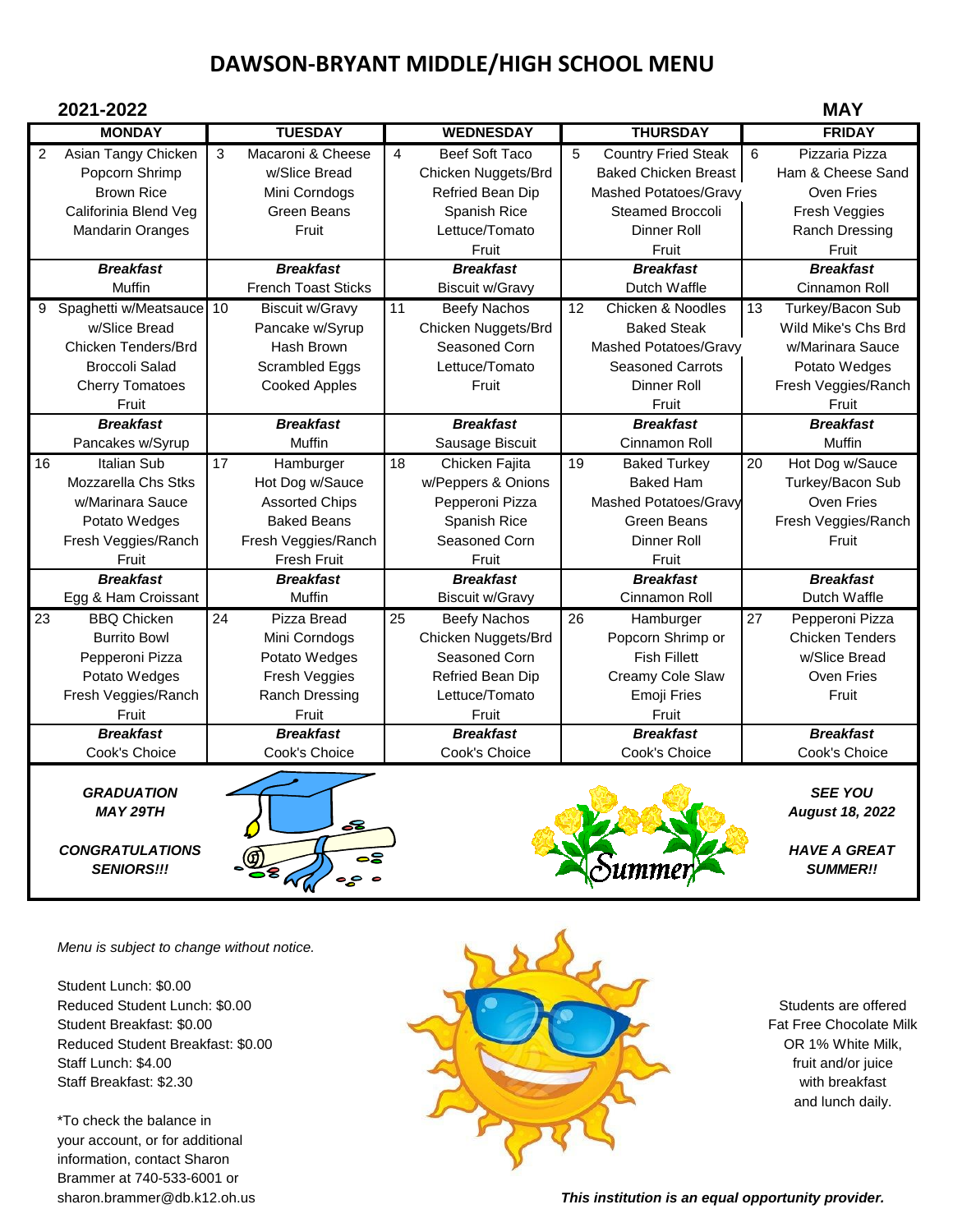## **DAWSON-BRYANT MIDDLE/HIGH SCHOOL MENU**

| 2021-2022       |                          |    |                            |    |                        |                 |                             | <b>MAY</b> |                        |
|-----------------|--------------------------|----|----------------------------|----|------------------------|-----------------|-----------------------------|------------|------------------------|
|                 | <b>MONDAY</b>            |    | <b>TUESDAY</b>             |    | <b>WEDNESDAY</b>       |                 | <b>THURSDAY</b>             |            | <b>FRIDAY</b>          |
| $\overline{2}$  | Asian Tangy Chicken      | 3  | Macaroni & Cheese          | 4  | <b>Beef Soft Taco</b>  | 5               | <b>Country Fried Steak</b>  | 6          | Pizzaria Pizza         |
|                 | Popcorn Shrimp           |    | w/Slice Bread              |    | Chicken Nuggets/Brd    |                 | <b>Baked Chicken Breast</b> |            | Ham & Cheese Sand      |
|                 | <b>Brown Rice</b>        |    | Mini Corndogs              |    | Refried Bean Dip       |                 | Mashed Potatoes/Gravy       |            | Oven Fries             |
|                 | Califorinia Blend Veg    |    | <b>Green Beans</b>         |    | Spanish Rice           |                 | <b>Steamed Broccoli</b>     |            | Fresh Veggies          |
|                 | <b>Mandarin Oranges</b>  |    | Fruit                      |    | Lettuce/Tomato         |                 | Dinner Roll                 |            | Ranch Dressing         |
|                 |                          |    |                            |    | Fruit                  |                 | Fruit                       |            | Fruit                  |
|                 | <b>Breakfast</b>         |    | <b>Breakfast</b>           |    | <b>Breakfast</b>       |                 | <b>Breakfast</b>            |            | <b>Breakfast</b>       |
|                 | Muffin                   |    | <b>French Toast Sticks</b> |    | <b>Biscuit w/Gravy</b> |                 | Dutch Waffle                |            | Cinnamon Roll          |
| 9               | Spaghetti w/Meatsauce 10 |    | <b>Biscuit w/Gravy</b>     | 11 | <b>Beefy Nachos</b>    | 12              | Chicken & Noodles           | 13         | Turkey/Bacon Sub       |
|                 | w/Slice Bread            |    | Pancake w/Syrup            |    | Chicken Nuggets/Brd    |                 | <b>Baked Steak</b>          |            | Wild Mike's Chs Brd    |
|                 | Chicken Tenders/Brd      |    | Hash Brown                 |    | Seasoned Corn          |                 | Mashed Potatoes/Gravy       |            | w/Marinara Sauce       |
|                 | <b>Broccoli Salad</b>    |    | Scrambled Eggs             |    | Lettuce/Tomato         |                 | <b>Seasoned Carrots</b>     |            | Potato Wedges          |
|                 | <b>Cherry Tomatoes</b>   |    | <b>Cooked Apples</b>       |    | Fruit                  |                 | Dinner Roll                 |            | Fresh Veggies/Ranch    |
|                 | Fruit                    |    |                            |    |                        |                 | Fruit                       |            | Fruit                  |
|                 | <b>Breakfast</b>         |    | <b>Breakfast</b>           |    | <b>Breakfast</b>       |                 | <b>Breakfast</b>            |            | <b>Breakfast</b>       |
|                 | Pancakes w/Syrup         |    | Muffin                     |    | Sausage Biscuit        |                 | Cinnamon Roll               |            | Muffin                 |
| 16              | Italian Sub              | 17 | Hamburger                  | 18 | Chicken Fajita         | 19              | <b>Baked Turkey</b>         | 20         | Hot Dog w/Sauce        |
|                 | Mozzarella Chs Stks      |    | Hot Dog w/Sauce            |    | w/Peppers & Onions     |                 | <b>Baked Ham</b>            |            | Turkey/Bacon Sub       |
|                 | w/Marinara Sauce         |    | <b>Assorted Chips</b>      |    | Pepperoni Pizza        |                 | Mashed Potatoes/Gravy       |            | Oven Fries             |
|                 | Potato Wedges            |    | <b>Baked Beans</b>         |    | Spanish Rice           |                 | <b>Green Beans</b>          |            | Fresh Veggies/Ranch    |
|                 | Fresh Veggies/Ranch      |    | Fresh Veggies/Ranch        |    | Seasoned Corn          |                 | Dinner Roll                 |            | Fruit                  |
|                 | Fruit                    |    | <b>Fresh Fruit</b>         |    | Fruit                  |                 | Fruit                       |            |                        |
|                 | <b>Breakfast</b>         |    | <b>Breakfast</b>           |    | <b>Breakfast</b>       |                 | <b>Breakfast</b>            |            | <b>Breakfast</b>       |
|                 | Egg & Ham Croissant      |    | Muffin                     |    | <b>Biscuit w/Gravy</b> |                 | Cinnamon Roll               |            | Dutch Waffle           |
| $\overline{23}$ | <b>BBQ Chicken</b>       | 24 | Pizza Bread                | 25 | <b>Beefy Nachos</b>    | $\overline{26}$ | Hamburger                   | 27         | Pepperoni Pizza        |
|                 | <b>Burrito Bowl</b>      |    | Mini Corndogs              |    | Chicken Nuggets/Brd    |                 | Popcorn Shrimp or           |            | <b>Chicken Tenders</b> |
|                 | Pepperoni Pizza          |    | Potato Wedges              |    | Seasoned Corn          |                 | <b>Fish Fillett</b>         |            | w/Slice Bread          |
|                 | Potato Wedges            |    | Fresh Veggies              |    | Refried Bean Dip       |                 | Creamy Cole Slaw            |            | Oven Fries             |
|                 | Fresh Veggies/Ranch      |    | Ranch Dressing             |    | Lettuce/Tomato         |                 | Emoji Fries                 |            | Fruit                  |
|                 | Fruit                    |    | Fruit                      |    | Fruit                  |                 | Fruit                       |            |                        |
|                 | <b>Breakfast</b>         |    | <b>Breakfast</b>           |    | <b>Breakfast</b>       |                 | <b>Breakfast</b>            |            | <b>Breakfast</b>       |
|                 | Cook's Choice            |    | Cook's Choice              |    | Cook's Choice          |                 | Cook's Choice               |            | Cook's Choice          |
|                 |                          |    |                            |    |                        |                 |                             |            |                        |





*Menu is subject to change without notice.*

Student Lunch: \$0.00

\*To check the balance in your account, or for additional information, contact Sharon Brammer at 740-533-6001 or



and lunch daily.